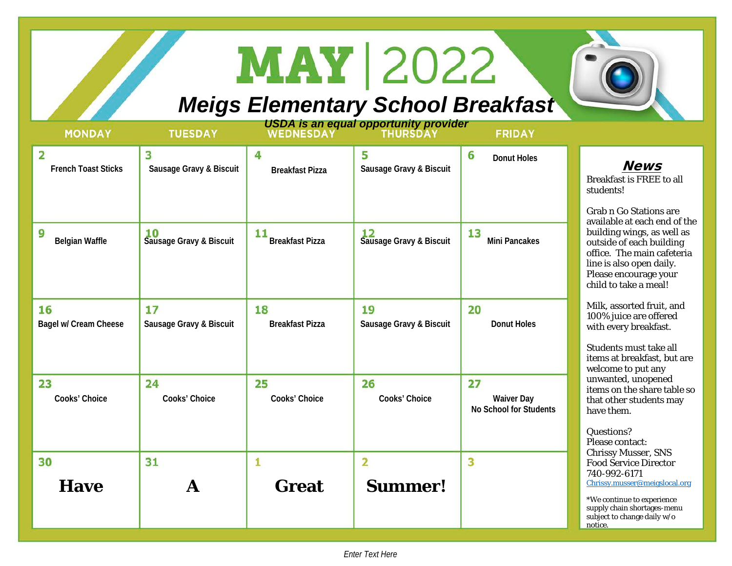## **MAY 2022**

## *Meigs Elementary School Breakfast*

| <b>MONDAY</b>                                | <b>TUESDAY</b>                |                              | USDA is an equal opportunity provider<br>WEDNESDAY THURSDAY | <b>FRIDAY</b>                                            |                                                                                                                                                                                                                    |
|----------------------------------------------|-------------------------------|------------------------------|-------------------------------------------------------------|----------------------------------------------------------|--------------------------------------------------------------------------------------------------------------------------------------------------------------------------------------------------------------------|
| $\overline{2}$<br><b>French Toast Sticks</b> | 3<br>Sausage Gravy & Biscuit  | 4<br><b>Breakfast Pizza</b>  | 5<br>Sausage Gravy & Biscuit                                | 6<br><b>Donut Holes</b>                                  | <b>News</b><br><b>Breakfast is FREE to all</b><br>students!<br><b>Grab n Go Stations are</b>                                                                                                                       |
| 9<br><b>Belgian Waffle</b>                   | 10<br>Sausage Gravy & Biscuit | 11<br><b>Breakfast Pizza</b> | 12<br>Sausage Gravy & Biscuit                               | 13<br><b>Mini Pancakes</b>                               | available at each end of the<br>building wings, as well as<br>outside of each building<br>office. The main cafeteria<br>line is also open daily.<br>Please encourage your<br>child to take a meal!                 |
| 16<br>Bagel w/ Cream Cheese                  | 17<br>Sausage Gravy & Biscuit | 18<br><b>Breakfast Pizza</b> | 19<br>Sausage Gravy & Biscuit                               | 20<br><b>Donut Holes</b>                                 | Milk, assorted fruit, and<br>100% juice are offered<br>with every breakfast.<br>Students must take all<br>items at breakfast, but are<br>welcome to put any                                                        |
| 23<br>Cooks' Choice                          | 24<br>Cooks' Choice           | 25<br>Cooks' Choice          | 26<br>Cooks' Choice                                         | 27<br><b>Waiver Day</b><br><b>No School for Students</b> | unwanted, unopened<br>items on the share table so<br>that other students may<br>have them.<br>Questions?<br>Please contact:                                                                                        |
| 30<br><b>Have</b>                            | 31<br>A                       | 1<br><b>Great</b>            | $\overline{\mathbf{2}}$<br><b>Summer!</b>                   | 3                                                        | <b>Chrissy Musser, SNS</b><br><b>Food Service Director</b><br>740-992-6171<br>Chrissy.musser@meigslocal.org<br>*We continue to experience<br>supply chain shortages-menu<br>subject to change daily w/o<br>notice. |